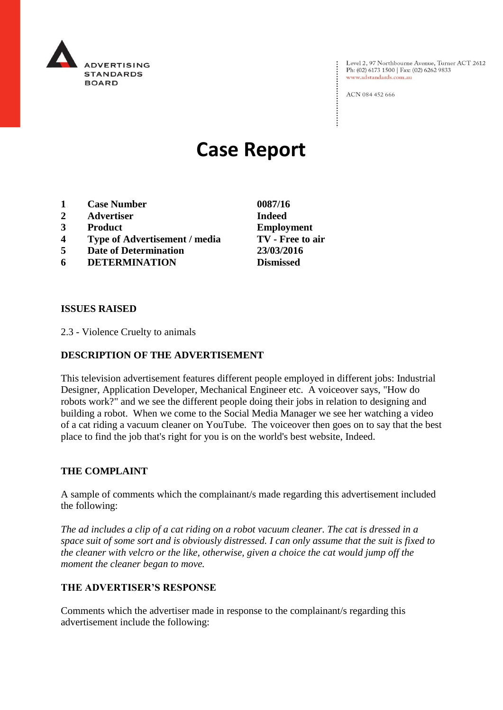

Level 2, 97 Northbourne Avenue, Turner ACT 2612<br>Ph: (02) 6173 1500 | Fax: (02) 6262 9833 www.adstandards.com.au

ACN 084 452 666

# **Case Report**

- **1 Case Number 0087/16**
- **2 Advertiser Indeed**
- **3 Product Employment**
- **4 Type of Advertisement / media TV - Free to air**
- **5 Date of Determination 23/03/2016**
- **6 DETERMINATION Dismissed**

**ISSUES RAISED**

2.3 - Violence Cruelty to animals

## **DESCRIPTION OF THE ADVERTISEMENT**

This television advertisement features different people employed in different jobs: Industrial Designer, Application Developer, Mechanical Engineer etc. A voiceover says, "How do robots work?" and we see the different people doing their jobs in relation to designing and building a robot. When we come to the Social Media Manager we see her watching a video of a cat riding a vacuum cleaner on YouTube. The voiceover then goes on to say that the best place to find the job that's right for you is on the world's best website, Indeed.

#### **THE COMPLAINT**

A sample of comments which the complainant/s made regarding this advertisement included the following:

*The ad includes a clip of a cat riding on a robot vacuum cleaner. The cat is dressed in a space suit of some sort and is obviously distressed. I can only assume that the suit is fixed to the cleaner with velcro or the like, otherwise, given a choice the cat would jump off the moment the cleaner began to move.* 

## **THE ADVERTISER'S RESPONSE**

Comments which the advertiser made in response to the complainant/s regarding this advertisement include the following: